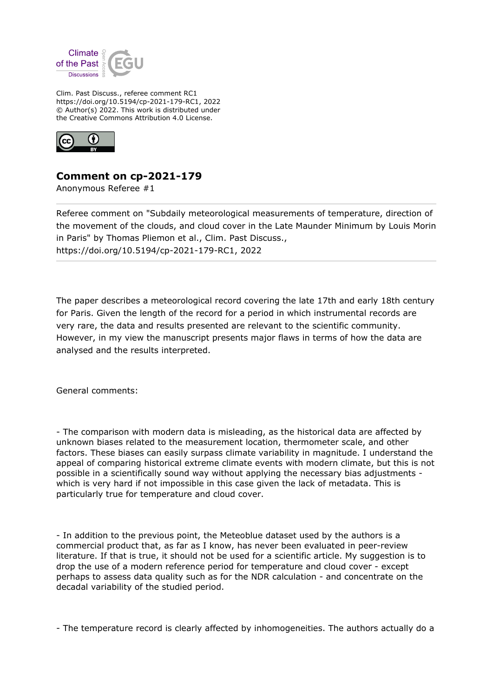

Clim. Past Discuss., referee comment RC1 https://doi.org/10.5194/cp-2021-179-RC1, 2022 © Author(s) 2022. This work is distributed under the Creative Commons Attribution 4.0 License.



**Comment on cp-2021-179**

Anonymous Referee #1

Referee comment on "Subdaily meteorological measurements of temperature, direction of the movement of the clouds, and cloud cover in the Late Maunder Minimum by Louis Morin in Paris" by Thomas Pliemon et al., Clim. Past Discuss., https://doi.org/10.5194/cp-2021-179-RC1, 2022

The paper describes a meteorological record covering the late 17th and early 18th century for Paris. Given the length of the record for a period in which instrumental records are very rare, the data and results presented are relevant to the scientific community. However, in my view the manuscript presents major flaws in terms of how the data are analysed and the results interpreted.

General comments:

- The comparison with modern data is misleading, as the historical data are affected by unknown biases related to the measurement location, thermometer scale, and other factors. These biases can easily surpass climate variability in magnitude. I understand the appeal of comparing historical extreme climate events with modern climate, but this is not possible in a scientifically sound way without applying the necessary bias adjustments which is very hard if not impossible in this case given the lack of metadata. This is particularly true for temperature and cloud cover.

- In addition to the previous point, the Meteoblue dataset used by the authors is a commercial product that, as far as I know, has never been evaluated in peer-review literature. If that is true, it should not be used for a scientific article. My suggestion is to drop the use of a modern reference period for temperature and cloud cover - except perhaps to assess data quality such as for the NDR calculation - and concentrate on the decadal variability of the studied period.

- The temperature record is clearly affected by inhomogeneities. The authors actually do a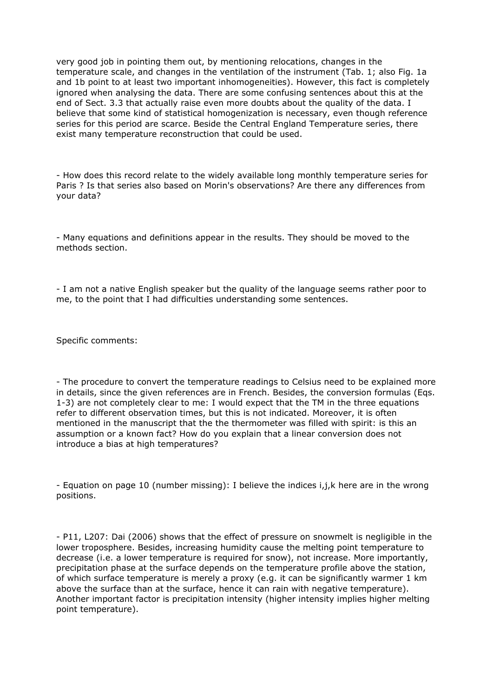very good job in pointing them out, by mentioning relocations, changes in the temperature scale, and changes in the ventilation of the instrument (Tab. 1; also Fig. 1a and 1b point to at least two important inhomogeneities). However, this fact is completely ignored when analysing the data. There are some confusing sentences about this at the end of Sect. 3.3 that actually raise even more doubts about the quality of the data. I believe that some kind of statistical homogenization is necessary, even though reference series for this period are scarce. Beside the Central England Temperature series, there exist many temperature reconstruction that could be used.

- How does this record relate to the widely available long monthly temperature series for Paris ? Is that series also based on Morin's observations? Are there any differences from your data?

- Many equations and definitions appear in the results. They should be moved to the methods section.

- I am not a native English speaker but the quality of the language seems rather poor to me, to the point that I had difficulties understanding some sentences.

Specific comments:

- The procedure to convert the temperature readings to Celsius need to be explained more in details, since the given references are in French. Besides, the conversion formulas (Eqs. 1-3) are not completely clear to me: I would expect that the TM in the three equations refer to different observation times, but this is not indicated. Moreover, it is often mentioned in the manuscript that the the thermometer was filled with spirit: is this an assumption or a known fact? How do you explain that a linear conversion does not introduce a bias at high temperatures?

- Equation on page 10 (number missing): I believe the indices i,j,k here are in the wrong positions.

- P11, L207: Dai (2006) shows that the effect of pressure on snowmelt is negligible in the lower troposphere. Besides, increasing humidity cause the melting point temperature to decrease (i.e. a lower temperature is required for snow), not increase. More importantly, precipitation phase at the surface depends on the temperature profile above the station, of which surface temperature is merely a proxy (e.g. it can be significantly warmer 1 km above the surface than at the surface, hence it can rain with negative temperature). Another important factor is precipitation intensity (higher intensity implies higher melting point temperature).